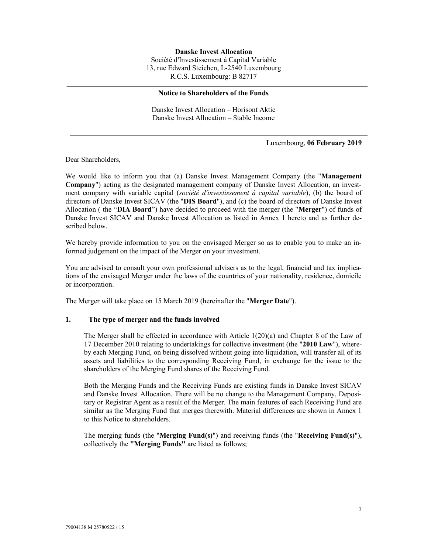#### Danske Invest Allocation Société d'Investissement à Capital Variable

13, rue Edward Steichen, L-2540 Luxembourg R.C.S. Luxembourg: B 82717

## Notice to Shareholders of the Funds

Danske Invest Allocation – Horisont Aktie Danske Invest Allocation – Stable Income

# Luxembourg, 06 February 2019

Dear Shareholders,

We would like to inform you that (a) Danske Invest Management Company (the "Management" Company") acting as the designated management company of Danske Invest Allocation, an investment company with variable capital (société d'investissement à capital variable), (b) the board of directors of Danske Invest SICAV (the "DIS Board"), and (c) the board of directors of Danske Invest Allocation ( the "DIA Board") have decided to proceed with the merger (the "Merger") of funds of Danske Invest SICAV and Danske Invest Allocation as listed in Annex 1 hereto and as further described below.

We hereby provide information to you on the envisaged Merger so as to enable you to make an informed judgement on the impact of the Merger on your investment.

You are advised to consult your own professional advisers as to the legal, financial and tax implications of the envisaged Merger under the laws of the countries of your nationality, residence, domicile or incorporation.

The Merger will take place on 15 March 2019 (hereinafter the "Merger Date").

# 1. The type of merger and the funds involved

The Merger shall be effected in accordance with Article 1(20)(a) and Chapter 8 of the Law of 17 December 2010 relating to undertakings for collective investment (the "2010 Law"), whereby each Merging Fund, on being dissolved without going into liquidation, will transfer all of its assets and liabilities to the corresponding Receiving Fund, in exchange for the issue to the shareholders of the Merging Fund shares of the Receiving Fund.

Both the Merging Funds and the Receiving Funds are existing funds in Danske Invest SICAV and Danske Invest Allocation. There will be no change to the Management Company, Depositary or Registrar Agent as a result of the Merger. The main features of each Receiving Fund are similar as the Merging Fund that merges therewith. Material differences are shown in Annex 1 to this Notice to shareholders.

The merging funds (the "Merging Fund(s)") and receiving funds (the "Receiving Fund(s)"), collectively the "Merging Funds" are listed as follows;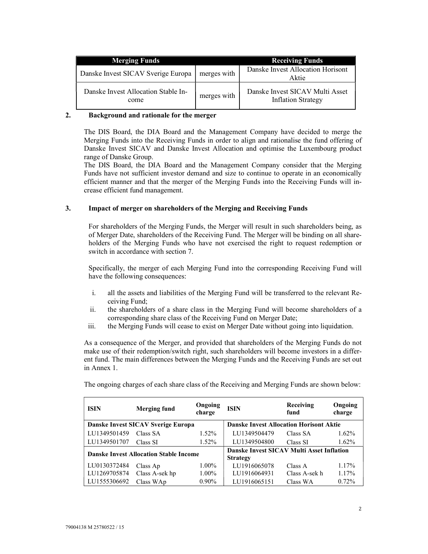| <b>Merging Funds</b>                        |             | <b>Receiving Funds</b>                                       |
|---------------------------------------------|-------------|--------------------------------------------------------------|
| Danske Invest SICAV Sverige Europa          | merges with | Danske Invest Allocation Horisont<br>Aktie                   |
| Danske Invest Allocation Stable In-<br>come | merges with | Danske Invest SICAV Multi Asset<br><b>Inflation Strategy</b> |

# 2. Background and rationale for the merger

The DIS Board, the DIA Board and the Management Company have decided to merge the Merging Funds into the Receiving Funds in order to align and rationalise the fund offering of Danske Invest SICAV and Danske Invest Allocation and optimise the Luxembourg product range of Danske Group.

The DIS Board, the DIA Board and the Management Company consider that the Merging Funds have not sufficient investor demand and size to continue to operate in an economically efficient manner and that the merger of the Merging Funds into the Receiving Funds will increase efficient fund management.

# 3. Impact of merger on shareholders of the Merging and Receiving Funds

For shareholders of the Merging Funds, the Merger will result in such shareholders being, as of Merger Date, shareholders of the Receiving Fund. The Merger will be binding on all shareholders of the Merging Funds who have not exercised the right to request redemption or switch in accordance with section 7.

Specifically, the merger of each Merging Fund into the corresponding Receiving Fund will have the following consequences:

- i. all the assets and liabilities of the Merging Fund will be transferred to the relevant Receiving Fund;
- ii. the shareholders of a share class in the Merging Fund will become shareholders of a corresponding share class of the Receiving Fund on Merger Date;
- iii. the Merging Funds will cease to exist on Merger Date without going into liquidation.

As a consequence of the Merger, and provided that shareholders of the Merging Funds do not make use of their redemption/switch right, such shareholders will become investors in a different fund. The main differences between the Merging Funds and the Receiving Funds are set out in Annex 1.

| <b>ISIN</b>  | <b>Merging fund</b>                           | Ongoing<br>charge | <b>ISIN</b>                                                         | Receiving<br>fund | Ongoing<br>charge |
|--------------|-----------------------------------------------|-------------------|---------------------------------------------------------------------|-------------------|-------------------|
|              | Danske Invest SICAV Sverige Europa            |                   | <b>Danske Invest Allocation Horisont Aktie</b>                      |                   |                   |
| LU1349501459 | Class SA                                      | $1.52\%$          | LU1349504479                                                        | Class SA          | $1.62\%$          |
| LU1349501707 | Class SI                                      | 1.52%             | LU1349504800                                                        | Class SI          | $1.62\%$          |
|              | <b>Danske Invest Allocation Stable Income</b> |                   | <b>Danske Invest SICAV Multi Asset Inflation</b><br><b>Strategy</b> |                   |                   |
| LU0130372484 | Class Ap                                      | $1.00\%$          | LU1916065078                                                        | Class A           | 1.17%             |
| LU1269705874 | Class A-sek hp                                | $1.00\%$          | LU1916064931                                                        | Class A-sek h     | 1.17%             |
| LU1555306692 | Class WAp                                     | $0.90\%$          | LU1916065151                                                        | Class WA          | $0.72\%$          |

The ongoing charges of each share class of the Receiving and Merging Funds are shown below: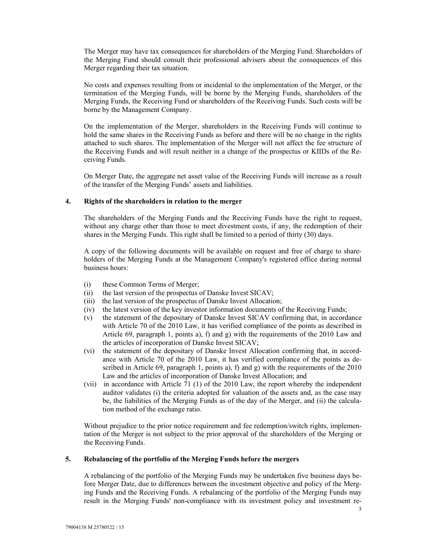The Merger may have tax consequences for shareholders of the Merging Fund. Shareholders of the Merging Fund should consult their professional advisers about the consequences of this Merger regarding their tax situation.

No costs and expenses resulting from or incidental to the implementation of the Merger, or the termination of the Merging Funds, will be borne by the Merging Funds, shareholders of the Merging Funds, the Receiving Fund or shareholders of the Receiving Funds. Such costs will be borne by the Management Company.

On the implementation of the Merger, shareholders in the Receiving Funds will continue to hold the same shares in the Receiving Funds as before and there will be no change in the rights attached to such shares. The implementation of the Merger will not affect the fee structure of the Receiving Funds and will result neither in a change of the prospectus or KIIDs of the Receiving Funds.

On Merger Date, the aggregate net asset value of the Receiving Funds will increase as a result of the transfer of the Merging Funds' assets and liabilities.

#### 4. Rights of the shareholders in relation to the merger

The shareholders of the Merging Funds and the Receiving Funds have the right to request, without any charge other than those to meet divestment costs, if any, the redemption of their shares in the Merging Funds. This right shall be limited to a period of thirty (30) days.

A copy of the following documents will be available on request and free of charge to shareholders of the Merging Funds at the Management Company's registered office during normal business hours:

- (i) these Common Terms of Merger;
- (ii) the last version of the prospectus of Danske Invest SICAV;
- (iii) the last version of the prospectus of Danske Invest Allocation;
- (iv) the latest version of the key investor information documents of the Receiving Funds;
- (v) the statement of the depositary of Danske Invest SICAV confirming that, in accordance with Article 70 of the 2010 Law, it has verified compliance of the points as described in Article 69, paragraph 1, points a), f) and g) with the requirements of the 2010 Law and the articles of incorporation of Danske Invest SICAV;
- (vi) the statement of the depositary of Danske Invest Allocation confirming that, in accordance with Article 70 of the 2010 Law, it has verified compliance of the points as described in Article 69, paragraph 1, points a), f) and g) with the requirements of the  $2010$ Law and the articles of incorporation of Danske Invest Allocation; and
- (vii) in accordance with Article 71 (1) of the 2010 Law, the report whereby the independent auditor validates (i) the criteria adopted for valuation of the assets and, as the case may be, the liabilities of the Merging Funds as of the day of the Merger, and (ii) the calculation method of the exchange ratio.

Without prejudice to the prior notice requirement and fee redemption/switch rights, implementation of the Merger is not subject to the prior approval of the shareholders of the Merging or the Receiving Funds.

#### 5. Rebalancing of the portfolio of the Merging Funds before the mergers

A rebalancing of the portfolio of the Merging Funds may be undertaken five business days before Merger Date, due to differences between the investment objective and policy of the Merging Funds and the Receiving Funds. A rebalancing of the portfolio of the Merging Funds may result in the Merging Funds' non-compliance with its investment policy and investment re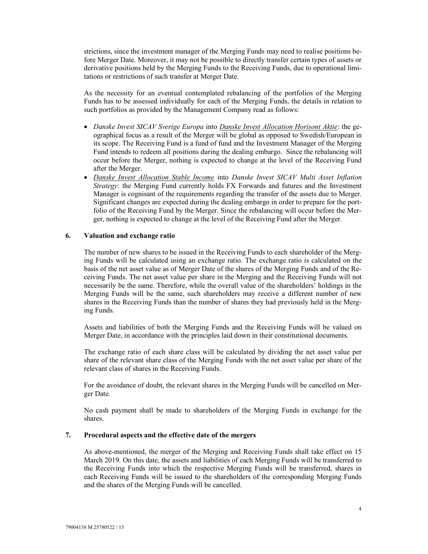strictions, since the investment manager of the Merging Funds may need to realise positions before Merger Date. Moreover, it may not be possible to directly transfer certain types of assets or derivative positions held by the Merging Funds to the Receiving Funds, due to operational limitations or restrictions of such transfer at Merger Date.

As the necessity for an eventual contemplated rebalancing of the portfolios of the Merging Funds has to be assessed individually for each of the Merging Funds, the details in relation to such portfolios as provided by the Management Company read as follows:

- Danske Invest SICAV Sverige Europa into Danske Invest Allocation Horisont Aktie: the geographical focus as a result of the Merger will be global as opposed to Swedish/European in its scope. The Receiving Fund is a fund of fund and the Investment Manager of the Merging Fund intends to redeem all positions during the dealing embargo. Since the rebalancing will occur before the Merger, nothing is expected to change at the level of the Receiving Fund after the Merger.
- Danske Invest Allocation Stable Income into Danske Invest SICAV Multi Asset Inflation Strategy: the Merging Fund currently holds FX Forwards and futures and the Investment Manager is cognisant of the requirements regarding the transfer of the assets due to Merger. Significant changes are expected during the dealing embargo in order to prepare for the portfolio of the Receiving Fund by the Merger. Since the rebalancing will occur before the Merger, nothing is expected to change at the level of the Receiving Fund after the Merger.

# 6. Valuation and exchange ratio

The number of new shares to be issued in the Receiving Funds to each shareholder of the Merging Funds will be calculated using an exchange ratio. The exchange ratio is calculated on the basis of the net asset value as of Merger Date of the shares of the Merging Funds and of the Receiving Funds. The net asset value per share in the Merging and the Receiving Funds will not necessarily be the same. Therefore, while the overall value of the shareholders' holdings in the Merging Funds will be the same, such shareholders may receive a different number of new shares in the Receiving Funds than the number of shares they had previously held in the Merging Funds.

Assets and liabilities of both the Merging Funds and the Receiving Funds will be valued on Merger Date, in accordance with the principles laid down in their constitutional documents.

The exchange ratio of each share class will be calculated by dividing the net asset value per share of the relevant share class of the Merging Funds with the net asset value per share of the relevant class of shares in the Receiving Funds.

For the avoidance of doubt, the relevant shares in the Merging Funds will be cancelled on Merger Date.

No cash payment shall be made to shareholders of the Merging Funds in exchange for the shares.

## 7. Procedural aspects and the effective date of the mergers

As above-mentioned, the merger of the Merging and Receiving Funds shall take effect on 15 March 2019. On this date, the assets and liabilities of each Merging Funds will be transferred to the Receiving Funds into which the respective Merging Funds will be transferred, shares in each Receiving Funds will be issued to the shareholders of the corresponding Merging Funds and the shares of the Merging Funds will be cancelled.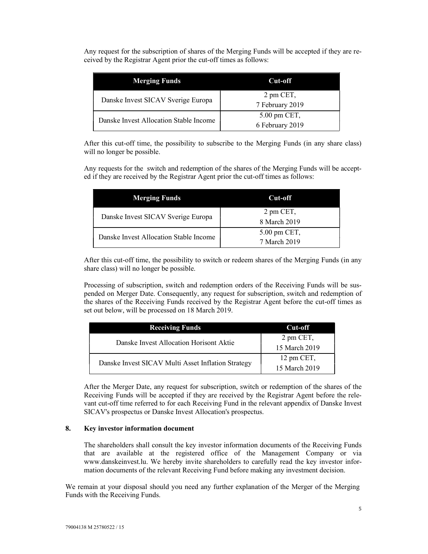Any request for the subscription of shares of the Merging Funds will be accepted if they are received by the Registrar Agent prior the cut-off times as follows:

| <b>Merging Funds</b>                   | Cut-off                                            |
|----------------------------------------|----------------------------------------------------|
| Danske Invest SICAV Sverige Europa     | 2 pm CET,<br>7 February 2019                       |
| Danske Invest Allocation Stable Income | $5.00 \text{ pm } \text{CET}$ ,<br>6 February 2019 |

After this cut-off time, the possibility to subscribe to the Merging Funds (in any share class) will no longer be possible.

Any requests for the switch and redemption of the shares of the Merging Funds will be accepted if they are received by the Registrar Agent prior the cut-off times as follows:

| <b>Merging Funds</b>                   | Cut-off                         |
|----------------------------------------|---------------------------------|
| Danske Invest SICAV Sverige Europa     | 2 pm CET,                       |
|                                        | 8 March 2019                    |
| Danske Invest Allocation Stable Income | $5.00 \text{ pm } \text{CET}$ , |
|                                        | 7 March 2019                    |

After this cut-off time, the possibility to switch or redeem shares of the Merging Funds (in any share class) will no longer be possible.

Processing of subscription, switch and redemption orders of the Receiving Funds will be suspended on Merger Date. Consequently, any request for subscription, switch and redemption of the shares of the Receiving Funds received by the Registrar Agent before the cut-off times as set out below, will be processed on 18 March 2019.

| <b>Receiving Funds</b>                             | Cut-off       |
|----------------------------------------------------|---------------|
| Danske Invest Allocation Horisont Aktie            | 2 pm CET,     |
|                                                    | 15 March 2019 |
|                                                    | 12 pm CET,    |
| Danske Invest SICAV Multi Asset Inflation Strategy | 15 March 2019 |

After the Merger Date, any request for subscription, switch or redemption of the shares of the Receiving Funds will be accepted if they are received by the Registrar Agent before the relevant cut-off time referred to for each Receiving Fund in the relevant appendix of Danske Invest SICAV's prospectus or Danske Invest Allocation's prospectus.

#### 8. Key investor information document

The shareholders shall consult the key investor information documents of the Receiving Funds that are available at the registered office of the Management Company or via www.danskeinvest.lu. We hereby invite shareholders to carefully read the key investor information documents of the relevant Receiving Fund before making any investment decision.

We remain at your disposal should you need any further explanation of the Merger of the Merging Funds with the Receiving Funds.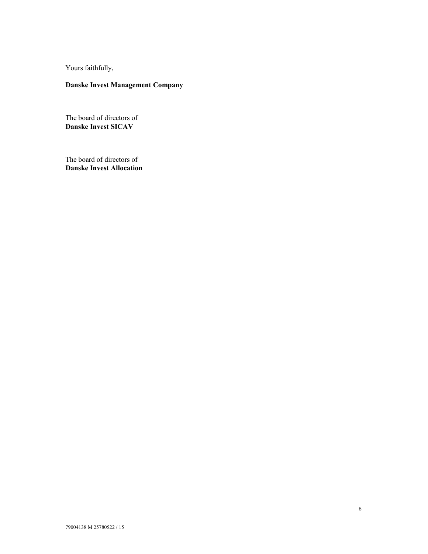Yours faithfully,

# Danske Invest Management Company

The board of directors of Danske Invest SICAV

The board of directors of Danske Invest Allocation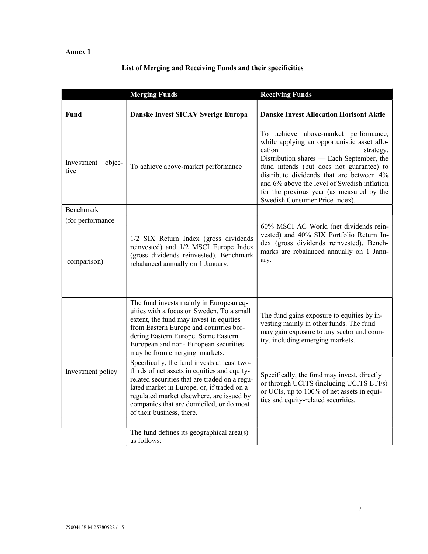# Annex 1

# List of Merging and Receiving Funds and their specificities

|                                 | <b>Merging Funds</b>                                                                                                                                                                                                                                                                                                                                                                                                                                                                                                                  | <b>Receiving Funds</b>                                                                                                                                                                                                                                                                                                                                                        |
|---------------------------------|---------------------------------------------------------------------------------------------------------------------------------------------------------------------------------------------------------------------------------------------------------------------------------------------------------------------------------------------------------------------------------------------------------------------------------------------------------------------------------------------------------------------------------------|-------------------------------------------------------------------------------------------------------------------------------------------------------------------------------------------------------------------------------------------------------------------------------------------------------------------------------------------------------------------------------|
| <b>Fund</b>                     | Danske Invest SICAV Sverige Europa                                                                                                                                                                                                                                                                                                                                                                                                                                                                                                    | <b>Danske Invest Allocation Horisont Aktie</b>                                                                                                                                                                                                                                                                                                                                |
| Investment<br>objec-<br>tive    | To achieve above-market performance                                                                                                                                                                                                                                                                                                                                                                                                                                                                                                   | To achieve above-market performance,<br>while applying an opportunistic asset allo-<br>cation<br>strategy.<br>Distribution shares — Each September, the<br>fund intends (but does not guarantee) to<br>distribute dividends that are between 4%<br>and 6% above the level of Swedish inflation<br>for the previous year (as measured by the<br>Swedish Consumer Price Index). |
| <b>Benchmark</b>                |                                                                                                                                                                                                                                                                                                                                                                                                                                                                                                                                       |                                                                                                                                                                                                                                                                                                                                                                               |
| (for performance<br>comparison) | 1/2 SIX Return Index (gross dividends<br>reinvested) and 1/2 MSCI Europe Index<br>(gross dividends reinvested). Benchmark<br>rebalanced annually on 1 January.                                                                                                                                                                                                                                                                                                                                                                        | 60% MSCI AC World (net dividends rein-<br>vested) and 40% SIX Portfolio Return In-<br>dex (gross dividends reinvested). Bench-<br>marks are rebalanced annually on 1 Janu-<br>ary.                                                                                                                                                                                            |
| Investment policy               | The fund invests mainly in European eq-<br>uities with a focus on Sweden. To a small<br>extent, the fund may invest in equities<br>from Eastern Europe and countries bor-<br>dering Eastern Europe. Some Eastern<br>European and non-European securities<br>may be from emerging markets.<br>Specifically, the fund invests at least two-<br>thirds of net assets in equities and equity-<br>related securities that are traded on a regu-<br>lated market in Europe, or, if traded on a<br>regulated market elsewhere, are issued by | The fund gains exposure to equities by in-<br>vesting mainly in other funds. The fund<br>may gain exposure to any sector and coun-<br>try, including emerging markets.<br>Specifically, the fund may invest, directly<br>or through UCITS (including UCITS ETFs)<br>or UCIs, up to 100% of net assets in equi-<br>ties and equity-related securities.                         |
|                                 | companies that are domiciled, or do most<br>of their business, there.<br>The fund defines its geographical area(s)<br>as follows:                                                                                                                                                                                                                                                                                                                                                                                                     |                                                                                                                                                                                                                                                                                                                                                                               |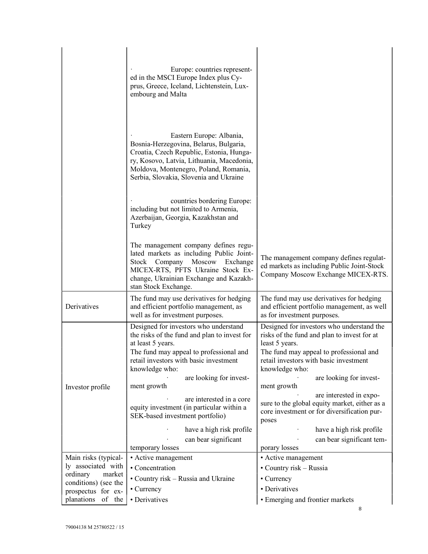|                      | Europe: countries represent-<br>ed in the MSCI Europe Index plus Cy-<br>prus, Greece, Iceland, Lichtenstein, Lux-<br>embourg and Malta                                                                                                                                                                                                                                                              |                                                                                                                                                                                                                                                                                                                                                                                                                             |
|----------------------|-----------------------------------------------------------------------------------------------------------------------------------------------------------------------------------------------------------------------------------------------------------------------------------------------------------------------------------------------------------------------------------------------------|-----------------------------------------------------------------------------------------------------------------------------------------------------------------------------------------------------------------------------------------------------------------------------------------------------------------------------------------------------------------------------------------------------------------------------|
|                      | Eastern Europe: Albania,<br>Bosnia-Herzegovina, Belarus, Bulgaria,<br>Croatia, Czech Republic, Estonia, Hunga-<br>ry, Kosovo, Latvia, Lithuania, Macedonia,<br>Moldova, Montenegro, Poland, Romania,<br>Serbia, Slovakia, Slovenia and Ukraine                                                                                                                                                      |                                                                                                                                                                                                                                                                                                                                                                                                                             |
|                      | countries bordering Europe:<br>including but not limited to Armenia,<br>Azerbaijan, Georgia, Kazakhstan and<br>Turkey                                                                                                                                                                                                                                                                               |                                                                                                                                                                                                                                                                                                                                                                                                                             |
|                      | The management company defines regu-<br>lated markets as including Public Joint-<br>Stock Company Moscow<br>Exchange<br>MICEX-RTS, PFTS Ukraine Stock Ex-<br>change, Ukrainian Exchange and Kazakh-<br>stan Stock Exchange.                                                                                                                                                                         | The management company defines regulat-<br>ed markets as including Public Joint-Stock<br>Company Moscow Exchange MICEX-RTS.                                                                                                                                                                                                                                                                                                 |
| Derivatives          | The fund may use derivatives for hedging<br>and efficient portfolio management, as<br>well as for investment purposes.                                                                                                                                                                                                                                                                              | The fund may use derivatives for hedging<br>and efficient portfolio management, as well<br>as for investment purposes.                                                                                                                                                                                                                                                                                                      |
| Investor profile     | Designed for investors who understand<br>the risks of the fund and plan to invest for<br>at least 5 years.<br>The fund may appeal to professional and<br>retail investors with basic investment<br>knowledge who:<br>are looking for invest-<br>ment growth<br>are interested in a core<br>equity investment (in particular within a<br>SEK-based investment portfolio)<br>have a high risk profile | Designed for investors who understand the<br>risks of the fund and plan to invest for at<br>least 5 years.<br>The fund may appeal to professional and<br>retail investors with basic investment<br>knowledge who:<br>are looking for invest-<br>ment growth<br>are interested in expo-<br>sure to the global equity market, either as a<br>core investment or for diversification pur-<br>poses<br>have a high risk profile |
|                      | can bear significant<br>temporary losses                                                                                                                                                                                                                                                                                                                                                            | can bear significant tem-<br>porary losses                                                                                                                                                                                                                                                                                                                                                                                  |
| Main risks (typical- | • Active management                                                                                                                                                                                                                                                                                                                                                                                 | • Active management                                                                                                                                                                                                                                                                                                                                                                                                         |
| ly associated with   | • Concentration                                                                                                                                                                                                                                                                                                                                                                                     | • Country risk – Russia                                                                                                                                                                                                                                                                                                                                                                                                     |
| ordinary<br>market   |                                                                                                                                                                                                                                                                                                                                                                                                     |                                                                                                                                                                                                                                                                                                                                                                                                                             |
| conditions) (see the | • Country risk – Russia and Ukraine                                                                                                                                                                                                                                                                                                                                                                 | • Currency                                                                                                                                                                                                                                                                                                                                                                                                                  |
| prospectus for ex-   | • Currency                                                                                                                                                                                                                                                                                                                                                                                          | • Derivatives                                                                                                                                                                                                                                                                                                                                                                                                               |
| planations of the    | • Derivatives                                                                                                                                                                                                                                                                                                                                                                                       | • Emerging and frontier markets                                                                                                                                                                                                                                                                                                                                                                                             |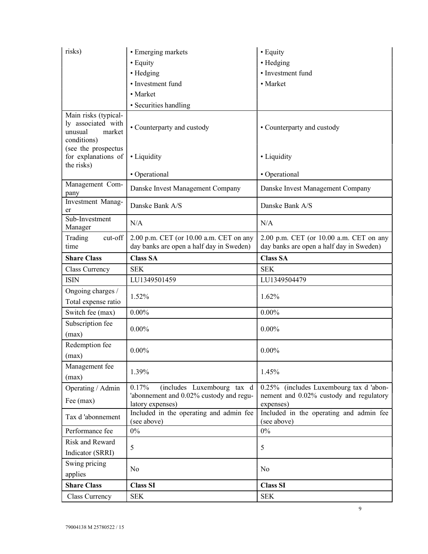| risks)                                                                         | • Emerging markets                                                                  | • Equity                                                                            |
|--------------------------------------------------------------------------------|-------------------------------------------------------------------------------------|-------------------------------------------------------------------------------------|
|                                                                                | • Equity                                                                            | • Hedging                                                                           |
|                                                                                | • Hedging                                                                           | • Investment fund                                                                   |
|                                                                                | • Investment fund                                                                   | • Market                                                                            |
|                                                                                | • Market                                                                            |                                                                                     |
|                                                                                | • Securities handling                                                               |                                                                                     |
| Main risks (typical-<br>ly associated with<br>unusual<br>market<br>conditions) | • Counterparty and custody                                                          | • Counterparty and custody                                                          |
| (see the prospectus<br>for explanations of<br>the risks)                       | • Liquidity                                                                         | • Liquidity                                                                         |
|                                                                                | • Operational                                                                       | • Operational                                                                       |
| Management Com-<br>pany                                                        | Danske Invest Management Company                                                    | Danske Invest Management Company                                                    |
| Investment Manag-<br>er                                                        | Danske Bank A/S                                                                     | Danske Bank A/S                                                                     |
| Sub-Investment<br>Manager                                                      | N/A                                                                                 | N/A                                                                                 |
| Trading<br>cut-off<br>time                                                     | 2.00 p.m. CET (or 10.00 a.m. CET on any<br>day banks are open a half day in Sweden) | 2.00 p.m. CET (or 10.00 a.m. CET on any<br>day banks are open a half day in Sweden) |
| <b>Share Class</b>                                                             | <b>Class SA</b>                                                                     | <b>Class SA</b>                                                                     |
| Class Currency                                                                 | <b>SEK</b>                                                                          | <b>SEK</b>                                                                          |
| <b>ISIN</b>                                                                    | LU1349501459                                                                        | LU1349504479                                                                        |
| Ongoing charges /<br>Total expense ratio                                       | 1.52%                                                                               | 1.62%                                                                               |
| Switch fee (max)                                                               | $0.00\%$                                                                            | $0.00\%$                                                                            |
| Subscription fee<br>(max)                                                      | $0.00\%$                                                                            | $0.00\%$                                                                            |
| Redemption fee<br>(max)                                                        | $0.00\%$                                                                            | $0.00\%$                                                                            |
| Management fee<br>(max)                                                        | 1.39%                                                                               | 1.45%                                                                               |
| Operating / Admin                                                              | 0.17%<br>(includes Luxembourg tax d                                                 | 0.25% (includes Luxembourg tax d 'abon-                                             |
| Fee (max)                                                                      | 'abonnement and 0.02% custody and regu-<br>latory expenses)                         | nement and 0.02% custody and regulatory<br>expenses)                                |
| Tax d'abonnement                                                               | Included in the operating and admin fee<br>(see above)                              | Included in the operating and admin fee<br>(see above)                              |
| Performance fee                                                                | $0\%$                                                                               | $0\%$                                                                               |
| <b>Risk and Reward</b>                                                         | 5                                                                                   | 5                                                                                   |
| Indicator (SRRI)                                                               |                                                                                     |                                                                                     |
| Swing pricing<br>applies                                                       | No                                                                                  | No                                                                                  |
| <b>Share Class</b>                                                             | <b>Class SI</b>                                                                     | <b>Class SI</b>                                                                     |
| Class Currency                                                                 | <b>SEK</b>                                                                          | <b>SEK</b>                                                                          |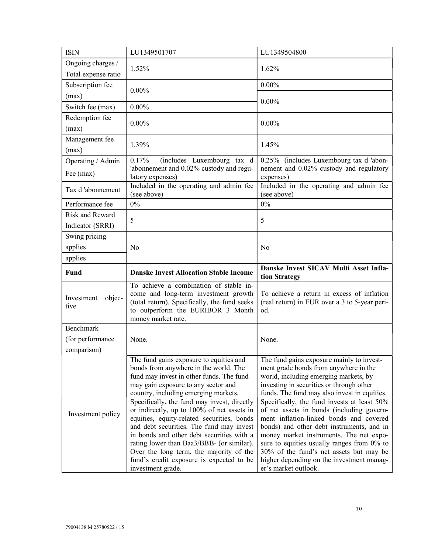| <b>ISIN</b>                              | LU1349501707                                                                                                                                                                              | LU1349504800                                                                                                        |
|------------------------------------------|-------------------------------------------------------------------------------------------------------------------------------------------------------------------------------------------|---------------------------------------------------------------------------------------------------------------------|
| Ongoing charges /<br>Total expense ratio | 1.52%                                                                                                                                                                                     | 1.62%                                                                                                               |
| Subscription fee<br>(max)                | $0.00\%$                                                                                                                                                                                  | $0.00\%$                                                                                                            |
| Switch fee (max)                         | $0.00\%$                                                                                                                                                                                  | $0.00\%$                                                                                                            |
| Redemption fee<br>(max)                  | $0.00\%$                                                                                                                                                                                  | $0.00\%$                                                                                                            |
| Management fee<br>(max)                  | 1.39%                                                                                                                                                                                     | 1.45%                                                                                                               |
| Operating / Admin<br>Fee (max)           | 0.17%<br>(includes Luxembourg tax d<br>'abonnement and 0.02% custody and regu-<br>latory expenses)                                                                                        | 0.25% (includes Luxembourg tax d 'abon-<br>nement and 0.02% custody and regulatory<br>expenses)                     |
| Tax d'abonnement                         | Included in the operating and admin fee<br>(see above)                                                                                                                                    | Included in the operating and admin fee<br>(see above)                                                              |
| Performance fee                          | $0\%$                                                                                                                                                                                     | $0\%$                                                                                                               |
| Risk and Reward<br>Indicator (SRRI)      | 5                                                                                                                                                                                         | 5                                                                                                                   |
| Swing pricing<br>applies                 | No                                                                                                                                                                                        | No                                                                                                                  |
| applies                                  |                                                                                                                                                                                           |                                                                                                                     |
| Fund                                     | <b>Danske Invest Allocation Stable Income</b>                                                                                                                                             | Danske Invest SICAV Multi Asset Infla-                                                                              |
| objec-<br>Investment<br>tive             | To achieve a combination of stable in-<br>come and long-term investment growth<br>(total return). Specifically, the fund seeks<br>to outperform the EURIBOR 3 Month<br>money market rate. | tion Strategy<br>To achieve a return in excess of inflation<br>(real return) in EUR over a 3 to 5-year peri-<br>od. |
| Benchmark                                |                                                                                                                                                                                           |                                                                                                                     |
| (for performance<br>comparison)          | None.                                                                                                                                                                                     | None.                                                                                                               |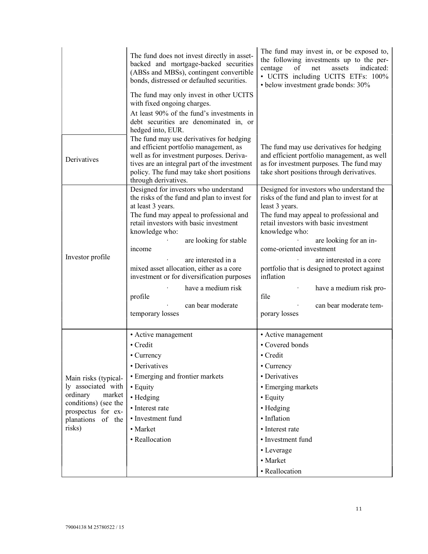|                                          | The fund does not invest directly in asset-<br>backed and mortgage-backed securities<br>(ABSs and MBSs), contingent convertible<br>bonds, distressed or defaulted securities.<br>The fund may only invest in other UCITS                            | The fund may invest in, or be exposed to,<br>the following investments up to the per-<br>centage<br>of<br>indicated:<br>net<br>assets<br>• UCITS including UCITS ETFs: 100%<br>· below investment grade bonds: 30% |
|------------------------------------------|-----------------------------------------------------------------------------------------------------------------------------------------------------------------------------------------------------------------------------------------------------|--------------------------------------------------------------------------------------------------------------------------------------------------------------------------------------------------------------------|
|                                          | with fixed ongoing charges.<br>At least 90% of the fund's investments in                                                                                                                                                                            |                                                                                                                                                                                                                    |
|                                          | debt securities are denominated in, or<br>hedged into, EUR.                                                                                                                                                                                         |                                                                                                                                                                                                                    |
| Derivatives                              | The fund may use derivatives for hedging<br>and efficient portfolio management, as<br>well as for investment purposes. Deriva-<br>tives are an integral part of the investment<br>policy. The fund may take short positions<br>through derivatives. | The fund may use derivatives for hedging<br>and efficient portfolio management, as well<br>as for investment purposes. The fund may<br>take short positions through derivatives.                                   |
|                                          | Designed for investors who understand<br>the risks of the fund and plan to invest for<br>at least 3 years.                                                                                                                                          | Designed for investors who understand the<br>risks of the fund and plan to invest for at                                                                                                                           |
|                                          | The fund may appeal to professional and<br>retail investors with basic investment<br>knowledge who:                                                                                                                                                 | least 3 years.<br>The fund may appeal to professional and<br>retail investors with basic investment<br>knowledge who:                                                                                              |
|                                          | are looking for stable<br>income                                                                                                                                                                                                                    | are looking for an in-<br>come-oriented investment                                                                                                                                                                 |
| Investor profile                         | are interested in a<br>mixed asset allocation, either as a core<br>investment or for diversification purposes                                                                                                                                       | are interested in a core<br>portfolio that is designed to protect against<br>inflation                                                                                                                             |
|                                          | have a medium risk<br>profile                                                                                                                                                                                                                       | have a medium risk pro-<br>file                                                                                                                                                                                    |
|                                          | can bear moderate<br>temporary losses                                                                                                                                                                                                               | can bear moderate tem-<br>porary losses                                                                                                                                                                            |
|                                          | • Active management                                                                                                                                                                                                                                 | • Active management                                                                                                                                                                                                |
|                                          | • Credit                                                                                                                                                                                                                                            | • Covered bonds                                                                                                                                                                                                    |
|                                          | • Currency                                                                                                                                                                                                                                          | • Credit                                                                                                                                                                                                           |
|                                          | • Derivatives                                                                                                                                                                                                                                       | • Currency                                                                                                                                                                                                         |
| Main risks (typical-                     | • Emerging and frontier markets                                                                                                                                                                                                                     | • Derivatives                                                                                                                                                                                                      |
| ly associated with<br>ordinary<br>market | • Equity                                                                                                                                                                                                                                            | • Emerging markets                                                                                                                                                                                                 |
| conditions) (see the                     | • Hedging<br>• Interest rate                                                                                                                                                                                                                        | • Equity                                                                                                                                                                                                           |
| prospectus for ex-                       | • Investment fund                                                                                                                                                                                                                                   | • Hedging<br>· Inflation                                                                                                                                                                                           |
| planations of the<br>risks)              | • Market                                                                                                                                                                                                                                            | • Interest rate                                                                                                                                                                                                    |
|                                          | • Reallocation                                                                                                                                                                                                                                      | • Investment fund                                                                                                                                                                                                  |
|                                          |                                                                                                                                                                                                                                                     | • Leverage                                                                                                                                                                                                         |
|                                          |                                                                                                                                                                                                                                                     | • Market                                                                                                                                                                                                           |
|                                          |                                                                                                                                                                                                                                                     | • Reallocation                                                                                                                                                                                                     |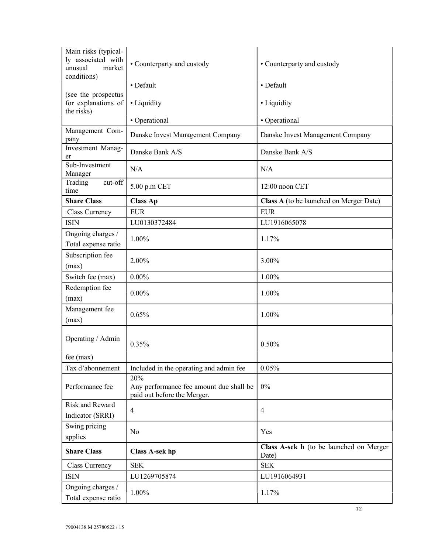| Main risks (typical-<br>ly associated with<br>unusual<br>market<br>conditions) | • Counterparty and custody                                                    | • Counterparty and custody                       |
|--------------------------------------------------------------------------------|-------------------------------------------------------------------------------|--------------------------------------------------|
|                                                                                | • Default                                                                     | • Default                                        |
| (see the prospectus<br>for explanations of<br>the risks)                       | • Liquidity                                                                   | • Liquidity                                      |
|                                                                                | • Operational                                                                 | • Operational                                    |
| Management Com-<br>pany                                                        | Danske Invest Management Company                                              | Danske Invest Management Company                 |
| Investment Manag-<br>er                                                        | Danske Bank A/S                                                               | Danske Bank A/S                                  |
| Sub-Investment<br>Manager                                                      | N/A                                                                           | N/A                                              |
| Trading<br>cut-off<br>time                                                     | 5.00 p.m CET                                                                  | 12:00 noon CET                                   |
| <b>Share Class</b>                                                             | <b>Class Ap</b>                                                               | Class A (to be launched on Merger Date)          |
| Class Currency                                                                 | <b>EUR</b>                                                                    | <b>EUR</b>                                       |
| <b>ISIN</b>                                                                    | LU0130372484                                                                  | LU1916065078                                     |
| Ongoing charges /<br>Total expense ratio                                       | 1.00%                                                                         | 1.17%                                            |
| Subscription fee<br>(max)                                                      | 2.00%                                                                         | 3.00%                                            |
| Switch fee (max)                                                               | $0.00\%$                                                                      | 1.00%                                            |
| Redemption fee                                                                 |                                                                               |                                                  |
| (max)                                                                          | $0.00\%$                                                                      | 1.00%                                            |
| Management fee<br>(max)                                                        | 0.65%                                                                         | 1.00%                                            |
| Operating / Admin<br>$fee$ (max)                                               | 0.35%                                                                         | 0.50%                                            |
| Tax d'abonnement                                                               | Included in the operating and admin fee                                       | 0.05%                                            |
| Performance fee                                                                | 20%<br>Any performance fee amount due shall be<br>paid out before the Merger. | $0\%$                                            |
| <b>Risk and Reward</b><br>Indicator (SRRI)                                     | 4                                                                             | $\overline{4}$                                   |
| Swing pricing<br>applies                                                       | No                                                                            | Yes                                              |
| <b>Share Class</b>                                                             | <b>Class A-sek hp</b>                                                         | Class A-sek h (to be launched on Merger<br>Date) |
| Class Currency                                                                 | <b>SEK</b>                                                                    | <b>SEK</b>                                       |
| <b>ISIN</b>                                                                    | LU1269705874                                                                  | LU1916064931                                     |
| Ongoing charges /<br>Total expense ratio                                       | 1.00%                                                                         | 1.17%                                            |